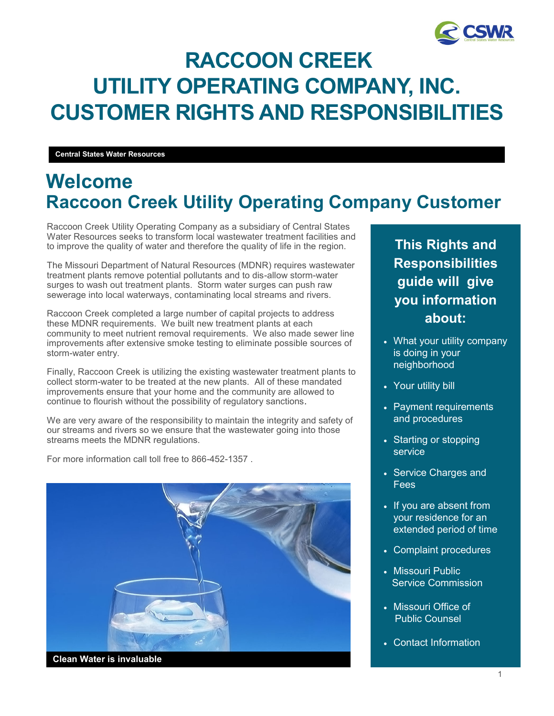

# **RACCOON CREEK UTILITY OPERATING COMPANY, INC. CUSTOMER RIGHTS AND RESPONSIBILITIES**

**Central States Water Resources**

## **Welcome Raccoon Creek Utility Operating Company Customer**

Raccoon Creek Utility Operating Company as a subsidiary of Central States Water Resources seeks to transform local wastewater treatment facilities and to improve the quality of water and therefore the quality of life in the region.

The Missouri Department of Natural Resources (MDNR) requires wastewater treatment plants remove potential pollutants and to dis-allow storm-water surges to wash out treatment plants. Storm water surges can push raw sewerage into local waterways, contaminating local streams and rivers.

Raccoon Creek completed a large number of capital projects to address these MDNR requirements. We built new treatment plants at each community to meet nutrient removal requirements. We also made sewer line improvements after extensive smoke testing to eliminate possible sources of storm-water entry.

Finally, Raccoon Creek is utilizing the existing wastewater treatment plants to collect storm-water to be treated at the new plants. All of these mandated improvements ensure that your home and the community are allowed to continue to flourish without the possibility of regulatory sanctions.

We are very aware of the responsibility to maintain the integrity and safety of our streams and rivers so we ensure that the wastewater going into those streams meets the MDNR regulations.

For more information call toll free to 866-452-1357 .



**This Rights and Responsibilities guide will give you information about:**

- What your utility company is doing in your neighborhood
- Your utility bill
- Payment requirements and procedures
- Starting or stopping service
- Service Charges and Fees
- If you are absent from your residence for an extended period of time
- Complaint procedures
- Missouri Public Service Commission
- Missouri Office of Public Counsel
- Contact Information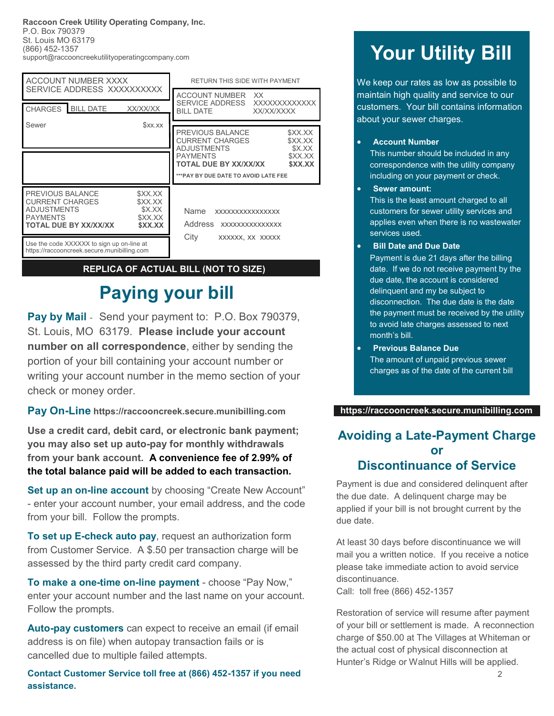**Raccoon Creek Utility Operating Company, Inc.** P.O. Box 790379 St. Louis MO 63179 (866) 452-1357 support@raccooncreekutilityoperatingcompany.com

| <b>ACCOUNT NUMBER XXXX</b><br>SERVICE ADDRESS XXXXXXXXXX                                                                                                                  |          | RETURN THIS SIDE WITH PAYMENT                                         |                              |
|---------------------------------------------------------------------------------------------------------------------------------------------------------------------------|----------|-----------------------------------------------------------------------|------------------------------|
|                                                                                                                                                                           |          | ACCOUNT NUMBER XX                                                     |                              |
| CHARGES BILL DATE                                                                                                                                                         | XX/XX/XX | SERVICE ADDRESS<br>BILL DATE<br>XX/XX/XXXX                            | XXXXXXXXXXXXX                |
| Sewer                                                                                                                                                                     | \$xx.xx  |                                                                       |                              |
|                                                                                                                                                                           |          | PREVIOUS BALANCE<br><b>CURRENT CHARGES</b><br><b>ADJUSTMENTS</b>      | \$XX.XX<br>\$XX.XX<br>\$X.XX |
|                                                                                                                                                                           |          | <b>PAYMENTS</b><br>\$XX.XX<br><b>TOTAL DUE BY XX/XX/XX</b><br>\$XX.XX |                              |
|                                                                                                                                                                           |          | *** PAY BY DUE DATE TO AVOID LATE FEE                                 |                              |
| PREVIOUS BALANCE<br>\$XX.XX<br><b>CURRENT CHARGES</b><br>\$XX.XX<br><b>ADJUSTMENTS</b><br>\$X.XX<br><b>PAYMENTS</b><br>\$XX.XX<br><b>TOTAL DUE BY XX/XX/XX</b><br>\$XX.XX |          | <b>Name</b><br>XXXXXXXXXXXXXXXX<br>Address<br>XXXXXXXXXXXXXXX         |                              |
| Use the code XXXXXX to sign up on-line at<br>https://raccooncreek.secure.munibilling.com                                                                                  |          | City<br>XXXXXX, XX XXXXX                                              |                              |

#### **REPLICA OF ACTUAL BILL (NOT TO SIZE)**

## **Paying your bill**

**Pay by Mail** - Send your payment to: P.O. Box 790379, St. Louis, MO 63179. **Please include your account number on all correspondence**, either by sending the portion of your bill containing your account number or writing your account number in the memo section of your check or money order.

**Pay On-Line https://raccooncreek.secure.munibilling.com**

**Use a credit card, debit card, or electronic bank payment; you may also set up auto-pay for monthly withdrawals from your bank account. A convenience fee of 2.99% of the total balance paid will be added to each transaction.**

**Set up an on-line account** by choosing "Create New Account" - enter your account number, your email address, and the code from your bill. Follow the prompts.

**To set up E-check auto pay**, request an authorization form from Customer Service. A \$.50 per transaction charge will be assessed by the third party credit card company.

**To make a one-time on-line payment** - choose "Pay Now," enter your account number and the last name on your account. Follow the prompts.

**Auto-pay customers** can expect to receive an email (if email address is on file) when autopay transaction fails or is cancelled due to multiple failed attempts.

**Contact Customer Service toll free at (866) 452-1357 if you need assistance.**

# **Your Utility Bill**

We keep our rates as low as possible to maintain high quality and service to our customers. Your bill contains information about your sewer charges.

#### • **Account Number**

This number should be included in any correspondence with the utility company including on your payment or check.

- **Sewer amount:** This is the least amount charged to all customers for sewer utility services and applies even when there is no wastewater services used.
- **Bill Date and Due Date**

Payment is due 21 days after the billing date. If we do not receive payment by the due date, the account is considered delinquent and my be subject to disconnection. The due date is the date the payment must be received by the utility to avoid late charges assessed to next month's bill.

• **Previous Balance Due** The amount of unpaid previous sewer charges as of the date of the current bill

#### **https://raccooncreek.secure.munibilling.com**

#### **Avoiding a Late-Payment Charge or Discontinuance of Service**

Payment is due and considered delinquent after the due date. A delinquent charge may be applied if your bill is not brought current by the due date.

At least 30 days before discontinuance we will mail you a written notice. If you receive a notice please take immediate action to avoid service discontinuance.

Call: toll free (866) 452-1357

Restoration of service will resume after payment of your bill or settlement is made. A reconnection charge of \$50.00 at The Villages at Whiteman or the actual cost of physical disconnection at Hunter's Ridge or Walnut Hills will be applied.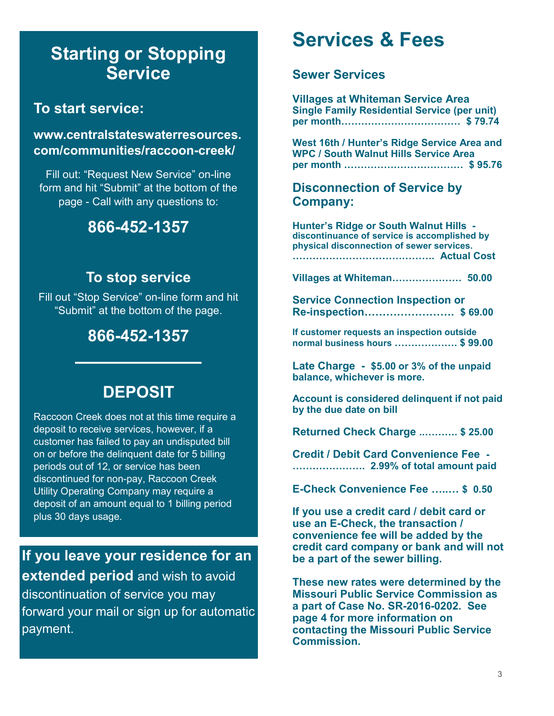## **Starting or Stopping Service**

### **To start service:**

#### **www.centralstateswaterresources. com/communities/raccoon-creek/**

Fill out: "Request New Service" on-line form and hit "Submit" at the bottom of the page - Call with any questions to:

### **866-452-1357**

### **To stop service**

Fill out "Stop Service" on-line form and hit "Submit" at the bottom of the page.

## **866-452-1357**

### **DEPOSIT**

Raccoon Creek does not at this time require a deposit to receive services, however, if a customer has failed to pay an undisputed bill on or before the delinquent date for 5 billing periods out of 12, or service has been discontinued for non-pay, Raccoon Creek Utility Operating Company may require a deposit of an amount equal to 1 billing period plus 30 days usage.

### **If you leave your residence for an extended period** and wish to avoid

discontinuation of service you may forward your mail or sign up for automatic payment.

## **Services & Fees**

#### **Sewer Services**

**Villages at Whiteman Service Area Single Family Residential Service (per unit) per month……………………………… \$ 79.74** 

**West 16th / Hunter's Ridge Service Area and WPC / South Walnut Hills Service Area per month ……………………………… \$ 95.76**

#### **Disconnection of Service by Company:**

**Hunter's Ridge or South Walnut Hills discontinuance of service is accomplished by physical disconnection of sewer services. ……………………………………. Actual Cost** 

**Villages at Whiteman………………… 50.00**

**Service Connection Inspection or Re-inspection……………………. \$ 69.00**

**If customer requests an inspection outside normal business hours ………………. \$ 99.00**

**Late Charge - \$5.00 or 3% of the unpaid balance, whichever is more.**

**Account is considered delinquent if not paid by the due date on bill**

**Returned Check Charge ..………. \$ 25.00** 

**Credit / Debit Card Convenience Fee - …………………. 2.99% of total amount paid**

**E-Check Convenience Fee …..… \$ 0.50**

**If you use a credit card / debit card or use an E-Check, the transaction / convenience fee will be added by the credit card company or bank and will not be a part of the sewer billing.**

**These new rates were determined by the Missouri Public Service Commission as a part of Case No. SR-2016-0202. See page 4 for more information on contacting the Missouri Public Service Commission.**